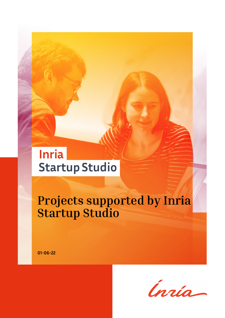## **Inria Startup Studio**

## **Projects supported by Inria Startup Studio**

**01-06-22**

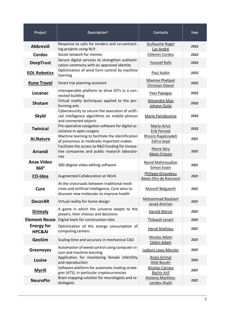| Project                                | Description*                                                                                                                               | <b>Contacts</b>                                   | Year |
|----------------------------------------|--------------------------------------------------------------------------------------------------------------------------------------------|---------------------------------------------------|------|
| Abbreviõ                               | Response to calls for tenders and co-contract-<br>ing projects using NLP.                                                                  | <b>Guillaume Roger</b><br>Luc André               | 2022 |
| <b>Cordos</b>                          | Social network for memes                                                                                                                   | Célestin Cordos                                   | 2022 |
| <b>DeepTrust</b>                       | Secure digital services to strengthen authenti-<br>cation ceremony with an approved identity                                               | Youssef Rafa                                      | 2022 |
| <b>EOL Robotics</b>                    | Optimization of wind farm control by machine<br>learning                                                                                   | Paul Aubin                                        | 2022 |
| <b>Kune Travel</b>                     | Smart trip planning assistant                                                                                                              | <b>Maxime Phelipot</b><br><b>Christian Glacet</b> | 2022 |
| Locanac                                | Interoperable platform to drive IOTs in a con-<br>nected building                                                                          | <b>Yves Papegay</b>                               | 2022 |
| <b>Shotam</b>                          | Virtual reality techniques applied to the per-<br>forming arts                                                                             | Alexandre Mao<br>Johann Oulai                     | 2022 |
| <b>Skyld</b>                           | Cybersecurity to secure the execution of artifi-<br>cial intelligence algorithms on mobile phones<br>and connected objects                 | Marie Paindavoine                                 | 2022 |
| <b>Twinical</b>                        | Pre-operative navigation software for digital as-<br>sistance in open surgery                                                              | <b>Mario Aricò</b><br>Erik Pernod                 | 2022 |
| <b>Al.Nature</b>                       | Machine learning to facilitate the identification<br>of poisonous or medically important snakes                                            | Khosro Rajabizadeh<br>Zahra Seyd                  | 2021 |
| <b>Arrandi</b>                         | Facilitate the access to R&D funding for innova-<br>tive companies and public research laborato-<br>ries                                   | Pierre Séry<br><b>Alexis Frisson</b>              | 2021 |
| <b>Anax Video</b><br>$360^\circ$       | 360-degree video editing software                                                                                                          | Navid Mahmoudian<br><b>Simon Evain</b>            | 2021 |
| CO-Idea                                | Augmented Collaboration at Work                                                                                                            | Philippe Giraudeau<br>Alexis Olry de Rancourt     | 2021 |
| Cure                                   | At the crossroads between traditional medi-<br>cines and artificial intelligence, Cure aims to<br>discover new molecules to improve health | Moncef Belguechi                                  | 2021 |
| <b>DecorAR</b>                         | Virtual reality for home design                                                                                                            | Mohammad Rouhani<br><b>Javad Amirian</b>          | 2021 |
| <b>Drimaly</b>                         | A game in which the universe adapts to the<br>players, their choices and decisions                                                         | Harold Blériot                                    | 2021 |
| <b>Element Reuse</b>                   | Digital tools for construction sites                                                                                                       | Thibault Lenart                                   | 2021 |
| <b>Energy for</b><br><b>HPC&amp;AI</b> | Optimization of the energy consumption of<br>computing centers                                                                             | Hervé Mathieu                                     | 2021 |
| <b>GeoSim</b>                          | Scaling time and accuracy in mechanical CAD                                                                                                | Nicolas Adam<br>Cédric Adam                       | 2021 |
| <b>Greeneyes</b>                       | Automation of weed control using computer vi-<br>sion and machine learning                                                                 | Ludovic Leau-Mercier                              | 2021 |
| Louise                                 | Application for monitoring female infertility<br>and reproduction                                                                          | <b>Anais Grimal</b><br><b>Atlal Boudir</b>        | 2021 |
| <b>Myrill</b>                          | Software platform for automatic trading strate-<br>gies (ATS), in particular cryptocurrencies                                              | Nicolas Carrara<br><b>Bachir Arif</b>             | 2021 |
| <b>NeuroPin</b>                        | Brain mapping solution for neurologists and ra-<br>diologists                                                                              | Antonia Machlou-<br>zarides-Shalit                | 2021 |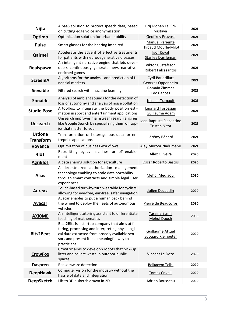| <b>Nijta</b>                      | A SaaS solution to protect speech data, based                                                                                                                                                                      | Brij Mohan Lal Sri-                                   | 2021 |
|-----------------------------------|--------------------------------------------------------------------------------------------------------------------------------------------------------------------------------------------------------------------|-------------------------------------------------------|------|
|                                   | on cutting edge voice anonymization                                                                                                                                                                                | vastava                                               |      |
| Optimo                            | Optimization solution for urban mobility                                                                                                                                                                           | <b>Geoffrey Pruvost</b>                               | 2021 |
| <b>Pulse</b>                      | Smart glasses for the hearing impaired                                                                                                                                                                             | <b>Manuel Pariente</b><br><b>Thibaud Moufle-Milot</b> | 2021 |
| Qairnel                           | Accelerate the advent of effective treatments<br>for patients with neurodegenerative diseases                                                                                                                      | Igor Koval<br><b>Stanley Durrleman</b>                | 2021 |
| Realspawn                         | An intelligent narrative engine that lets devel-<br>opers continuously generate new, narrative-<br>enriched games                                                                                                  | Viktor Gustafsson<br>Robert Falcasantos               | 2021 |
| <b>ScreenIA</b>                   | Algorithms for the analysis and prediction of fi-<br>nancial markets                                                                                                                                               | <b>Cyril Baudrillart</b><br>Georges Oppenheim         | 2021 |
| <b>Sievable</b>                   | Filtered search with machine learning                                                                                                                                                                              | Romain Zimmer<br>Leo Cances                           | 2021 |
| <b>Sonaide</b>                    | Analysis of ambient sounds for the detection of<br>loss of autonomy and analysis of noise pollution                                                                                                                | <b>Nicolas Turpault</b>                               | 2021 |
| <b>Studio Pose</b>                | A toolbox to integrate the body position esti-<br>mation in sport and entertainment applications                                                                                                                   | Léonard Torossian<br>Guillaume Adam                   | 2021 |
| <b>Unsearch</b>                   | Unsearch improves mainstream search engines<br>like Google Search by specializing them on top-<br>ics that matter to you                                                                                           | Jean-Baptiste Piacentino<br><b>Tristan Nitot</b>      | 2021 |
| <b>Urdone</b><br><b>Transform</b> | Transformation of heteregenous data for en-<br>treprise applications                                                                                                                                               | Jérémy Bénard                                         | 2021 |
| Voyance                           | Optimization of business workflows                                                                                                                                                                                 | Ajay Muroor Nadumane                                  | 2021 |
| 4loT                              | Retrofitting legacy machines for IoT enable-<br>ment                                                                                                                                                               | <b>Allex Oliveira</b>                                 | 2020 |
| <b>AgriBloT</b>                   | A data sharing solution for agriculture                                                                                                                                                                            | Oscar Roberto Bastos                                  | 2020 |
| <b>Alias</b>                      | A decentralized authorization management<br>technology enabling to scale data portability<br>through smart contracts and simple legal user<br>experiences                                                          | Mehdi Medjaoui                                        | 2020 |
| <b>Aureax</b>                     | Touch-based turn-by-turn wearable for cyclists,<br>allowing for eye-free, ear-free, safer navigation                                                                                                               | Julien Decaudin                                       | 2020 |
| <b>Avacar</b>                     | Avacar enables to put a human back behind<br>the wheel to deploy the fleets of autonomous<br>vehicles                                                                                                              | Pierre de Beaucorps                                   | 2020 |
| ΑΧΙθΜΕ                            | An intelligent tutoring assistant to differentiate<br>teaching of mathematics                                                                                                                                      | Yassine Esmili<br>Mehdi Douch                         | 2020 |
| <b>Bits2Beat</b>                  | Beat2Bits is a startup company that aims at fil-<br>tering, processing and interpreting physiologi-<br>cal data extracted from broadly available sen-<br>sors and present it in a meaningful way to<br>practicians | <b>Guillaume Attuel</b><br><b>Edouard Kleinpeter</b>  | 2020 |
| <b>CrowFox</b>                    | CrowFox aims to developp robots that pick-up<br>litter and collect waste in outdoor public<br>spaces                                                                                                               | Vincent Le Doze                                       | 2020 |
| Daspren                           | Ransomware detection                                                                                                                                                                                               | Belkacem Teibi                                        | 2020 |
| <b>DeepHawk</b>                   | Computer vision for the industry without the<br>hassle of data and integration                                                                                                                                     | Tomas Crivelli                                        | 2020 |
| <b>DeepSketch</b>                 | Lift to 3D a sketch drawn in 2D                                                                                                                                                                                    | <b>Adrien Bousseau</b>                                | 2020 |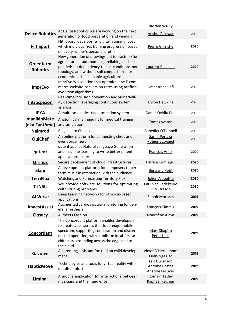|                              |                                                                                                                                                                                                                                                           | <b>Bastien Wailly</b>                                            |      |
|------------------------------|-----------------------------------------------------------------------------------------------------------------------------------------------------------------------------------------------------------------------------------------------------------|------------------------------------------------------------------|------|
| <b>Délice Robotics</b>       | At Délice Robotics we are working on the next<br>generation of food preparation and vending                                                                                                                                                               | <b>Anshul Paigwar</b>                                            | 2020 |
| <b>Flit Sport</b>            | Flit Sport develops a digital running coach<br>which individualizes training progression based<br>on every runner's personal profile                                                                                                                      | Pierre Gilfriche                                                 | 2020 |
| Greenfarm<br><b>Robotics</b> | New generation of drawings (alt to tractors) for<br>agriculture - autonomous, reliable, and sus-<br>pended: no dependency to soil conditions nor<br>topology, and without soil compaction - for an<br>economic and sustainable agriculture                | Laurent Blanchet                                                 | 2020 |
| <b>ImprEvo</b>               | ImprEvo is a solution that optimizes the E-com-<br>merce website conversion rates using artificial<br>evolution algorithms<br>Real-time intrusion prevention and vulnerabil-                                                                              | Omar Abdelkafi                                                   | 2020 |
| Introspicion                 | ity detection leveraging continuous system<br>analysis                                                                                                                                                                                                    | <b>Byron Hawkins</b>                                             | 2020 |
| <b>IPYA</b>                  | A multi-task pedestrian protection system                                                                                                                                                                                                                 | Danut-Ovidiu Pop                                                 | 2020 |
| manikinMate<br>(aka Fantôme) | Anatomical mannequins for medical training<br>and simulation                                                                                                                                                                                              | <b>Tomas Svaton</b>                                              | 2020 |
| <b>Naimrod</b>               | Binge learn Chinese                                                                                                                                                                                                                                       | <b>Benedict O'Donnell</b>                                        | 2020 |
| <b>OuiChef</b>               | An online platform for connecting chefs and<br>event organizers                                                                                                                                                                                           | Samir Perlaza<br><b>Rutger Eysvogel</b>                          | 2020 |
| <b>gatent</b>                | qatent applies Natural Language Generation<br>and machine learning to write better patent<br>applications faster                                                                                                                                          | François Veltz                                                   | 2020 |
| <b>Qirinus</b>               | Secure deployment of cloud infrastructures                                                                                                                                                                                                                | <b>Patrice Kirmizigul</b>                                        | 2020 |
| <b>Skini</b>                 | A development platform for composers to per-<br>form music in interaction with the audience                                                                                                                                                               | <b>Bertrand Petit</b>                                            | 2020 |
| <b>TerriFlux</b>             | Watching and Forecasting Territory Flux                                                                                                                                                                                                                   | <b>Julien Alapetite</b>                                          | 2020 |
| <b>T-INSIL</b>               | We provide software solutions for optimizing<br>cell culturing problems                                                                                                                                                                                   | Paul Van liedekerke<br>Dirk Drasdo                               | 2020 |
| <b>Al Verse</b>              | Deep Learning networks for of vision-based<br>applications                                                                                                                                                                                                | <b>Benoit Morisset</b>                                           | 2019 |
| <b>AnaestAssist</b>          | Augmented cardiovascular monitoring for gen-<br>eral anesthesia                                                                                                                                                                                           | <b>François Kimmig</b>                                           | 2019 |
| Closacy                      | Al meets Fashion                                                                                                                                                                                                                                          | Nourhène Alaya                                                   | 2019 |
| Concordant                   | The Concordant platform enables developers<br>to create apps across the cloud-edge-mobile<br>spectrum, supporting cooperation and discon-<br>nected operation, with a uniform local-first ar-<br>chitecture extending across the edge and to<br>the cloud | Marc Shapiro<br>Peter Lash                                       | 2019 |
| <b>Gazouyi</b>               | A parenting assistant focused on child develop-<br>ment                                                                                                                                                                                                   | Victor D'Herbemont<br>Xuan-Nga Cao                               | 2019 |
| <b>HapticMove</b>            | Technologies and tools for virtual reality with-<br>out discomfort                                                                                                                                                                                        | <b>Eric Duranson</b><br><b>Antoine Costes</b><br>Anatole Lécuyer | 2019 |
| Liminal                      | A mobile application for interactions between<br>musicians and their audience                                                                                                                                                                             | <b>Romain Tetley</b><br>Raphael Regnier                          | 2019 |